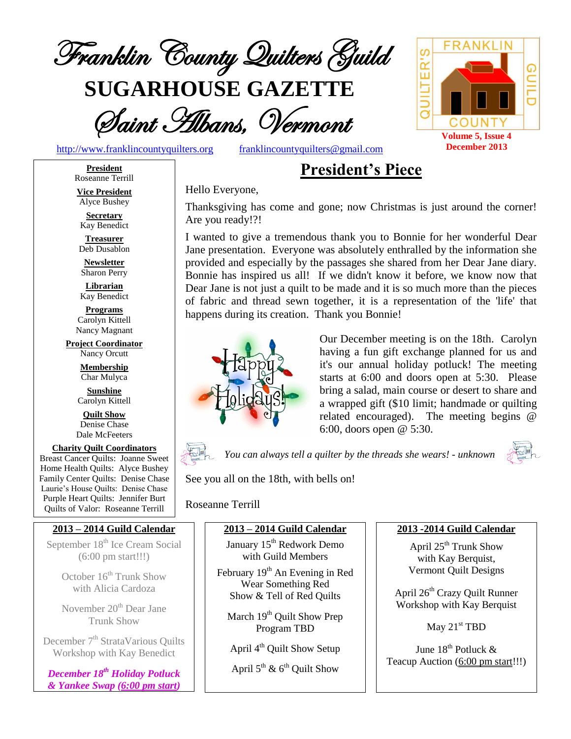

**SUGARHOUSE GAZETTE**



[http://www.franklincountyquilters.org](http://www.franklincountyquilters.org/) [franklincountyquilters@gmail.com](mailto:franklincountyquilters@gmail.com)

## **President's Piece**

Hello Everyone,

Thanksgiving has come and gone; now Christmas is just around the corner! Are you ready!?!

I wanted to give a tremendous thank you to Bonnie for her wonderful Dear Jane presentation. Everyone was absolutely enthralled by the information she provided and especially by the passages she shared from her Dear Jane diary. Bonnie has inspired us all! If we didn't know it before, we know now that Dear Jane is not just a quilt to be made and it is so much more than the pieces of fabric and thread sewn together, it is a representation of the 'life' that happens during its creation. Thank you Bonnie!



Our December meeting is on the 18th. Carolyn having a fun gift exchange planned for us and it's our annual holiday potluck! The meeting starts at 6:00 and doors open at 5:30. Please bring a salad, main course or desert to share and a wrapped gift (\$10 limit; handmade or quilting related encouraged). The meeting begins @ 6:00, doors open @ 5:30.



*You can always tell a quilter by the threads she wears! - unknown*



See you all on the 18th, with bells on!

Roseanne Terrill

#### **2013 – 2014 Guild Calendar**

January 15<sup>th</sup> Redwork Demo with Guild Members

February 19<sup>th</sup> An Evening in Red Wear Something Red Show & Tell of Red Quilts

March 19<sup>th</sup> Quilt Show Prep Program TBD

April 4<sup>th</sup> Quilt Show Setup

April  $5^{\text{th}}$  &  $6^{\text{th}}$  Quilt Show

#### **2013 -2014 Guild Calendar**

April 25<sup>th</sup> Trunk Show with Kay Berquist, Vermont Quilt Designs

April 26<sup>th</sup> Crazy Quilt Runner Workshop with Kay Berquist

May 21<sup>st</sup> TBD

June 18<sup>th</sup> Potluck & Teacup Auction (6:00 pm start!!!)

**President** Roseanne Terrill **Vice President**

Alyce Bushey

**Secretary** Kay Benedict

**Treasurer** Deb Dusablon

**Newsletter** Sharon Perry

**Librarian** Kay Benedict

**Programs** Carolyn Kittell Nancy Magnant

**Project Coordinator** Nancy Orcutt

> **Membership** Char Mulyca

**Sunshine** Carolyn Kittell

**Quilt Show** Denise Chase Dale McFeeters

**Charity Quilt Coordinators** Breast Cancer Quilts: Joanne Sweet Home Health Quilts: Alyce Bushey Family Center Quilts: Denise Chase Laurie's House Quilts: Denise Chase Purple Heart Quilts: Jennifer Burt Quilts of Valor: Roseanne Terrill

#### **2013 – 2014 Guild Calendar**

September 18<sup>th</sup> Ice Cream Social (6:00 pm start!!!)

> October  $16<sup>th</sup>$  Trunk Show with Alicia Cardoza

> November 20<sup>th</sup> Dear Jane Trunk Show

December 7<sup>th</sup> StrataVarious Quilts Workshop with Kay Benedict

*December 18 th Holiday Potluck & Yankee Swap (6:00 pm start)*



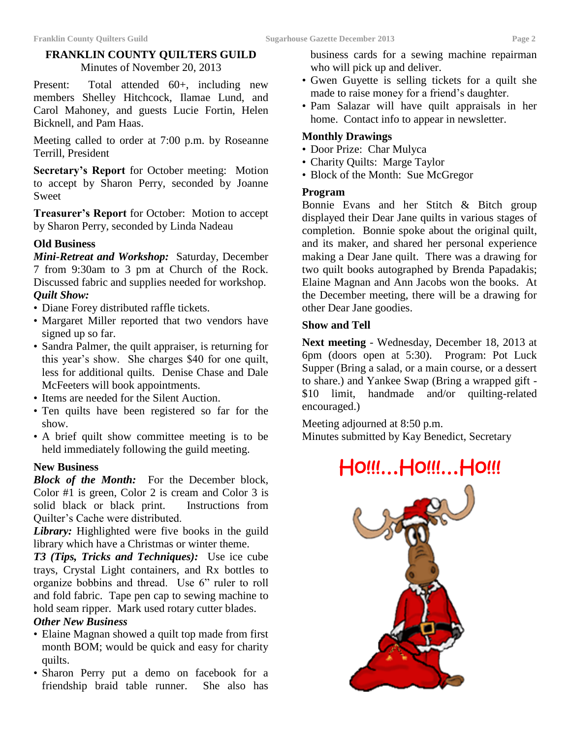#### **FRANKLIN COUNTY QUILTERS GUILD**

Minutes of November 20, 2013

Present: Total attended 60+, including new members Shelley Hitchcock, Ilamae Lund, and Carol Mahoney, and guests Lucie Fortin, Helen Bicknell, and Pam Haas.

Meeting called to order at 7:00 p.m. by Roseanne Terrill, President

**Secretary's Report** for October meeting: Motion to accept by Sharon Perry, seconded by Joanne Sweet

**Treasurer's Report** for October: Motion to accept by Sharon Perry, seconded by Linda Nadeau

#### **Old Business**

*Mini-Retreat and Workshop:* Saturday, December 7 from 9:30am to 3 pm at Church of the Rock. Discussed fabric and supplies needed for workshop. *Quilt Show:*

- Diane Forey distributed raffle tickets.
- Margaret Miller reported that two vendors have signed up so far.
- Sandra Palmer, the quilt appraiser, is returning for this year's show. She charges \$40 for one quilt, less for additional quilts. Denise Chase and Dale McFeeters will book appointments.
- Items are needed for the Silent Auction.
- Ten quilts have been registered so far for the show.
- A brief quilt show committee meeting is to be held immediately following the guild meeting.

#### **New Business**

*Block of the Month:* For the December block, Color #1 is green, Color 2 is cream and Color 3 is solid black or black print. Instructions from Quilter's Cache were distributed.

*Library:* Highlighted were five books in the guild library which have a Christmas or winter theme.

*T3 (Tips, Tricks and Techniques):* Use ice cube trays, Crystal Light containers, and Rx bottles to organize bobbins and thread. Use 6" ruler to roll and fold fabric. Tape pen cap to sewing machine to hold seam ripper. Mark used rotary cutter blades.

#### *Other New Business*

- Elaine Magnan showed a quilt top made from first month BOM; would be quick and easy for charity quilts.
- Sharon Perry put a demo on facebook for a friendship braid table runner. She also has

business cards for a sewing machine repairman who will pick up and deliver.

- Gwen Guyette is selling tickets for a quilt she made to raise money for a friend's daughter.
- Pam Salazar will have quilt appraisals in her home. Contact info to appear in newsletter.

#### **Monthly Drawings**

- Door Prize: Char Mulyca
- Charity Quilts: Marge Taylor
- Block of the Month: Sue McGregor

#### **Program**

Bonnie Evans and her Stitch & Bitch group displayed their Dear Jane quilts in various stages of completion. Bonnie spoke about the original quilt, and its maker, and shared her personal experience making a Dear Jane quilt. There was a drawing for two quilt books autographed by Brenda Papadakis; Elaine Magnan and Ann Jacobs won the books. At the December meeting, there will be a drawing for other Dear Jane goodies.

#### **Show and Tell**

**Next meeting** - Wednesday, December 18, 2013 at 6pm (doors open at 5:30). Program: Pot Luck Supper (Bring a salad, or a main course, or a dessert to share.) and Yankee Swap (Bring a wrapped gift - \$10 limit, handmade and/or quilting-related encouraged.)

Meeting adjourned at 8:50 p.m. Minutes submitted by Kay Benedict, Secretary

# Ho!!!…Ho!!!…Ho!!!

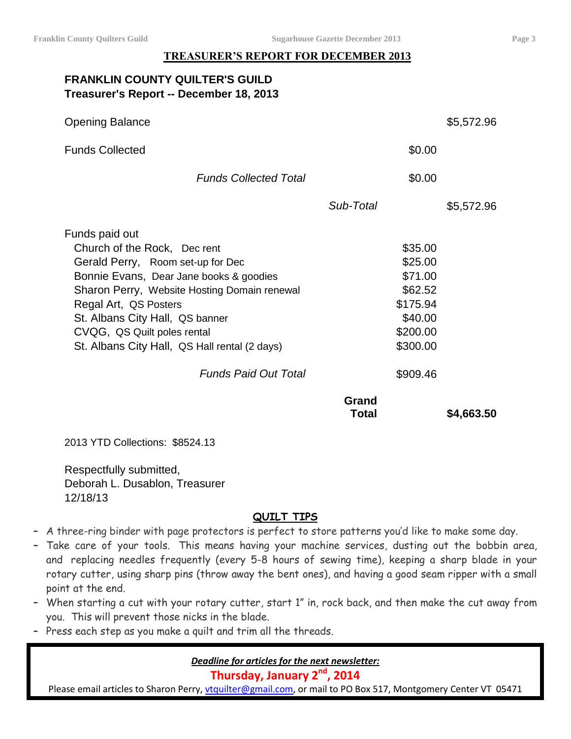#### **TREASURER'S REPORT FOR DECEMBER 2013**

#### **FRANKLIN COUNTY QUILTER'S GUILD Treasurer's Report -- December 18, 2013**

| <b>Opening Balance</b>                        |                       |          | \$5,572.96 |
|-----------------------------------------------|-----------------------|----------|------------|
| <b>Funds Collected</b>                        |                       | \$0.00   |            |
| <b>Funds Collected Total</b>                  |                       | \$0.00   |            |
|                                               | Sub-Total             |          | \$5,572.96 |
| Funds paid out                                |                       |          |            |
| Church of the Rock, Dec rent                  |                       | \$35.00  |            |
| Gerald Perry, Room set-up for Dec             |                       | \$25.00  |            |
| Bonnie Evans, Dear Jane books & goodies       |                       | \$71.00  |            |
| Sharon Perry, Website Hosting Domain renewal  |                       | \$62.52  |            |
| Regal Art, QS Posters                         |                       | \$175.94 |            |
| St. Albans City Hall, QS banner               |                       | \$40.00  |            |
| CVQG, QS Quilt poles rental                   |                       | \$200.00 |            |
| St. Albans City Hall, QS Hall rental (2 days) |                       | \$300.00 |            |
| <b>Funds Paid Out Total</b>                   |                       | \$909.46 |            |
|                                               | Grand<br><b>Total</b> |          | \$4,663.50 |
|                                               |                       |          |            |

2013 YTD Collections: \$8524.13

Respectfully submitted, Deborah L. Dusablon, Treasurer 12/18/13

#### **QUILT TIPS**

- A three-ring binder with page protectors is perfect to store patterns you'd like to make some day.
- Take care of your tools. This means having your machine services, dusting out the bobbin area, and replacing needles frequently (every 5-8 hours of sewing time), keeping a sharp blade in your rotary cutter, using sharp pins (throw away the bent ones), and having a good seam ripper with a small point at the end.
- When starting a cut with your rotary cutter, start 1" in, rock back, and then make the cut away from you. This will prevent those nicks in the blade.
- Press each step as you make a quilt and trim all the threads.

*Deadline for articles for the next newsletter:*

**Thursday, January 2nd, 2014**

Please email articles to Sharon Perry, [vtquilter@gmail.com,](mailto:vtquilter@gmail.com) or mail to PO Box 517, Montgomery Center VT 05471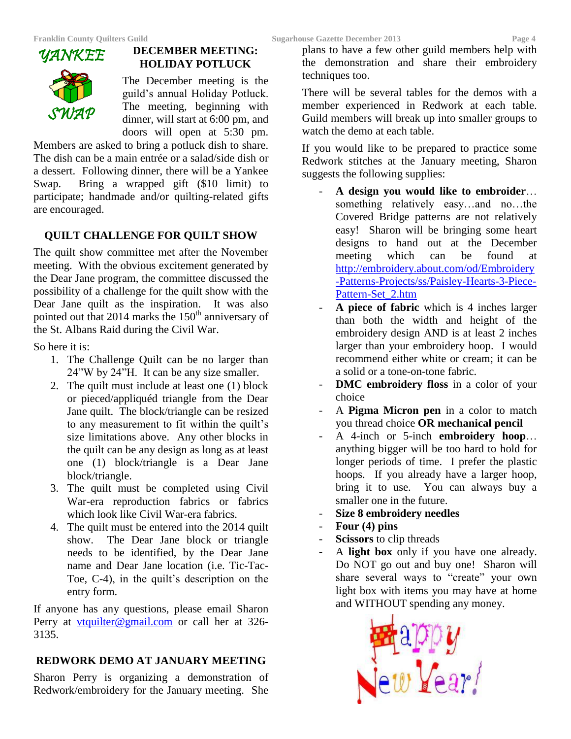#### **DECEMBER MEETING: HOLIDAY POTLUCK**

The December meeting is the guild's annual Holiday Potluck. The meeting, beginning with dinner, will start at 6:00 pm, and doors will open at 5:30 pm.

Members are asked to bring a potluck dish to share. The dish can be a main entrée or a salad/side dish or a dessert. Following dinner, there will be a Yankee Swap. Bring a wrapped gift (\$10 limit) to participate; handmade and/or quilting-related gifts are encouraged.

#### **QUILT CHALLENGE FOR QUILT SHOW**

The quilt show committee met after the November meeting. With the obvious excitement generated by the Dear Jane program, the committee discussed the possibility of a challenge for the quilt show with the Dear Jane quilt as the inspiration. It was also pointed out that 2014 marks the 150<sup>th</sup> anniversary of the St. Albans Raid during the Civil War.

So here it is:

- 1. The Challenge Quilt can be no larger than 24"W by 24"H. It can be any size smaller.
- 2. The quilt must include at least one (1) block or pieced/appliquéd triangle from the Dear Jane quilt. The block/triangle can be resized to any measurement to fit within the quilt's size limitations above. Any other blocks in the quilt can be any design as long as at least one (1) block/triangle is a Dear Jane block/triangle.
- 3. The quilt must be completed using Civil War-era reproduction fabrics or fabrics which look like Civil War-era fabrics.
- 4. The quilt must be entered into the 2014 quilt show. The Dear Jane block or triangle needs to be identified, by the Dear Jane name and Dear Jane location (i.e. Tic-Tac-Toe, C-4), in the quilt's description on the entry form.

If anyone has any questions, please email Sharon Perry at [vtquilter@gmail.com](mailto:vtquilter@gmail.com) or call her at 326- 3135.

### **REDWORK DEMO AT JANUARY MEETING**

Sharon Perry is organizing a demonstration of Redwork/embroidery for the January meeting. She plans to have a few other guild members help with the demonstration and share their embroidery techniques too.

There will be several tables for the demos with a member experienced in Redwork at each table. Guild members will break up into smaller groups to watch the demo at each table.

If you would like to be prepared to practice some Redwork stitches at the January meeting, Sharon suggests the following supplies:

- **A design you would like to embroider**… something relatively easy…and no…the Covered Bridge patterns are not relatively easy! Sharon will be bringing some heart designs to hand out at the December meeting which can be found at [http://embroidery.about.com/od/Embroidery](http://embroidery.about.com/od/Embroidery-Patterns-Projects/ss/Paisley-Hearts-3-Piece-Pattern-Set_2.htm) [-Patterns-Projects/ss/Paisley-Hearts-3-Piece-](http://embroidery.about.com/od/Embroidery-Patterns-Projects/ss/Paisley-Hearts-3-Piece-Pattern-Set_2.htm)[Pattern-Set\\_2.htm](http://embroidery.about.com/od/Embroidery-Patterns-Projects/ss/Paisley-Hearts-3-Piece-Pattern-Set_2.htm)
- **A piece of fabric** which is 4 inches larger than both the width and height of the embroidery design AND is at least 2 inches larger than your embroidery hoop. I would recommend either white or cream; it can be a solid or a tone-on-tone fabric.
- **DMC** embroidery floss in a color of your choice
- A **Pigma Micron pen** in a color to match you thread choice **OR mechanical pencil**
- A 4-inch or 5-inch **embroidery hoop**… anything bigger will be too hard to hold for longer periods of time. I prefer the plastic hoops. If you already have a larger hoop, bring it to use. You can always buy a smaller one in the future.
- **Size 8 embroidery needles**
- **Four (4) pins**
- **Scissors** to clip threads
- A **light box** only if you have one already. Do NOT go out and buy one! Sharon will share several ways to "create" your own light box with items you may have at home and WITHOUT spending any money.

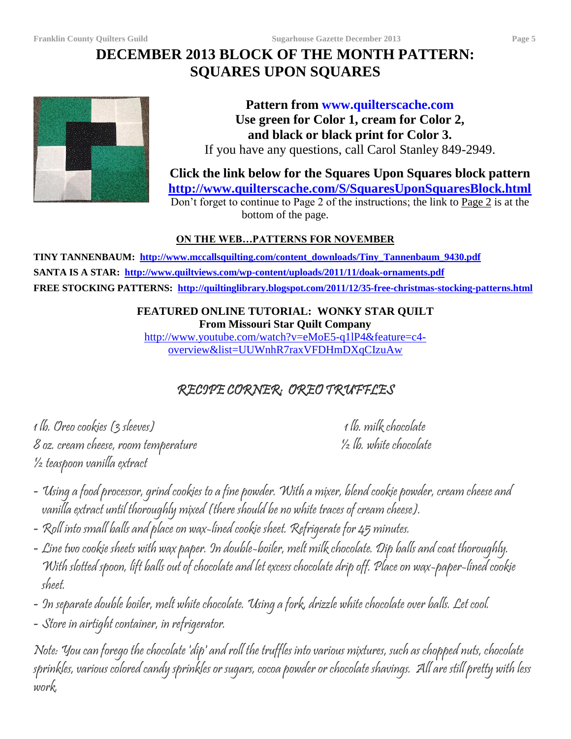## **DECEMBER 2013 BLOCK OF THE MONTH PATTERN: SQUARES UPON SQUARES**



**Pattern from www.quilterscache.com Use green for Color 1, cream for Color 2, and black or black print for Color 3.** If you have any questions, call Carol Stanley 849-2949.

**Click the link below for the Squares Upon Squares block pattern <http://www.quilterscache.com/S/SquaresUponSquaresBlock.html>**

Don't forget to continue to Page 2 of the instructions; the link to Page 2 is at the bottom of the page.

### **ON THE WEB…PATTERNS FOR NOVEMBER**

**TINY TANNENBAUM: [http://www.mccallsquilting.com/content\\_downloads/Tiny\\_Tannenbaum\\_9430.pdf](http://www.mccallsquilting.com/content_downloads/Tiny_Tannenbaum_9430.pdf) SANTA IS A STAR:<http://www.quiltviews.com/wp-content/uploads/2011/11/doak-ornaments.pdf> FREE STOCKING PATTERNS:<http://quiltinglibrary.blogspot.com/2011/12/35-free-christmas-stocking-patterns.html>**

### **FEATURED ONLINE TUTORIAL: WONKY STAR QUILT From Missouri Star Quilt Company**

[http://www.youtube.com/watch?v=eMoE5-q1lP4&feature=c4](http://www.youtube.com/watch?v=eMoE5-q1lP4&feature=c4-overview&list=UUWnhR7raxVFDHmDXqCIzuAw) [overview&list=UUWnhR7raxVFDHmDXqCIzuAw](http://www.youtube.com/watch?v=eMoE5-q1lP4&feature=c4-overview&list=UUWnhR7raxVFDHmDXqCIzuAw)

## RECIPE CORNER: OREO TRUFFLES

 1 lb. Oreo cookies (3 sleeves) 1 lb. milk chocolate 8 oz. cream cheese, room temperature ½ lb. white chocolate ½ teaspoon vanilla extract

- Using a food processor, grind cookies to a fine powder. With a mixer, blend cookie powder, cream cheese and vanilla extract until thoroughly mixed (there should be no white traces of cream cheese).
- Roll into small balls and place on wax-lined cookie sheet. Refrigerate for 45 minutes.
- Line two cookie sheets with wax paper. In double-boiler, melt milk chocolate. Dip balls and coat thoroughly. With slotted spoon, lift balls out of chocolate and let excess chocolate drip off. Place on wax-paper-lined cookie sheet.
- In separate double boiler, melt white chocolate. Using a fork, drizzle white chocolate over balls. Let cool.

- Store in airtight container, in refrigerator.

1. Note: You can forego the chocolate 'dip' and roll the truffles into various mixtures, such as chopped nuts, chocolate sprinkles, various colored candy sprinkles or sugars, cocoa powder or chocolate shavings. All are still pretty with less work.